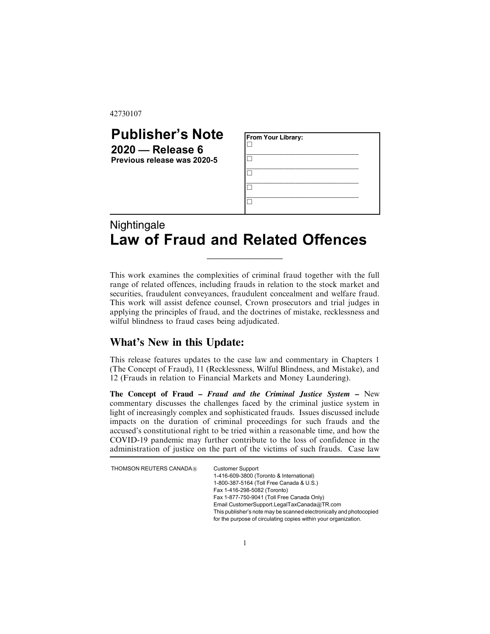42730107

| <b>Publisher's Note</b>                           | <b>From Your Library:</b> |
|---------------------------------------------------|---------------------------|
| $2020$ – Release 6<br>Previous release was 2020-5 |                           |
|                                                   |                           |
|                                                   |                           |
|                                                   |                           |
| Nightingalo                                       |                           |

## Nightingale Law of Fraud and Related Offences

This work examines the complexities of criminal fraud together with the full range of related offences, including frauds in relation to the stock market and securities, fraudulent conveyances, fraudulent concealment and welfare fraud. This work will assist defence counsel, Crown prosecutors and trial judges in applying the principles of fraud, and the doctrines of mistake, recklessness and wilful blindness to fraud cases being adjudicated.

\_\_\_\_\_\_\_\_\_\_\_\_\_\_\_\_\_\_\_

## **What's New in this Update:**

This release features updates to the case law and commentary in Chapters 1 (The Concept of Fraud), 11 (Recklessness, Wilful Blindness, and Mistake), and 12 (Frauds in relation to Financial Markets and Money Laundering).

**The Concept of Fraud –** *Fraud and the Criminal Justice System* **–** New commentary discusses the challenges faced by the criminal justice system in light of increasingly complex and sophisticated frauds. Issues discussed include impacts on the duration of criminal proceedings for such frauds and the accused's constitutional right to be tried within a reasonable time, and how the COVID-19 pandemic may further contribute to the loss of confidence in the administration of justice on the part of the victims of such frauds. Case law

THOMSON REUTERS CANADA $@$ 

| <b>Customer Support</b>                                             |
|---------------------------------------------------------------------|
| 1-416-609-3800 (Toronto & International)                            |
| 1-800-387-5164 (Toll Free Canada & U.S.)                            |
| Fax 1-416-298-5082 (Toronto)                                        |
| Fax 1-877-750-9041 (Toll Free Canada Only)                          |
| Email CustomerSupport.LegalTaxCanada@TR.com                         |
| This publisher's note may be scanned electronically and photocopied |
| for the purpose of circulating copies within your organization.     |
|                                                                     |